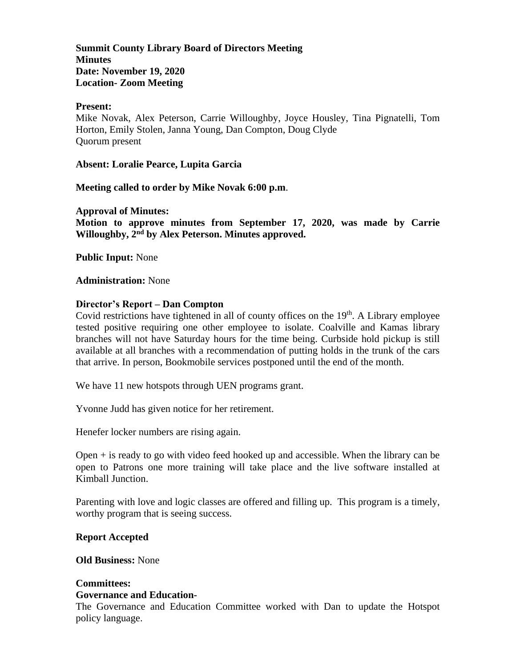**Summit County Library Board of Directors Meeting Minutes Date: November 19, 2020 Location- Zoom Meeting**

### **Present:**

Mike Novak, Alex Peterson, Carrie Willoughby, Joyce Housley, Tina Pignatelli, Tom Horton, Emily Stolen, Janna Young, Dan Compton, Doug Clyde Quorum present

**Absent: Loralie Pearce, Lupita Garcia**

**Meeting called to order by Mike Novak 6:00 p.m**.

**Approval of Minutes:**

**Motion to approve minutes from September 17, 2020, was made by Carrie Willoughby, 2 nd by Alex Peterson. Minutes approved.** 

**Public Input:** None

### **Administration:** None

### **Director's Report – Dan Compton**

Covid restrictions have tightened in all of county offices on the  $19<sup>th</sup>$ . A Library employee tested positive requiring one other employee to isolate. Coalville and Kamas library branches will not have Saturday hours for the time being. Curbside hold pickup is still available at all branches with a recommendation of putting holds in the trunk of the cars that arrive. In person, Bookmobile services postponed until the end of the month.

We have 11 new hotspots through UEN programs grant.

Yvonne Judd has given notice for her retirement.

Henefer locker numbers are rising again.

Open  $+$  is ready to go with video feed hooked up and accessible. When the library can be open to Patrons one more training will take place and the live software installed at Kimball Junction.

Parenting with love and logic classes are offered and filling up. This program is a timely, worthy program that is seeing success.

#### **Report Accepted**

**Old Business:** None

#### **Committees: Governance and Education-**

The Governance and Education Committee worked with Dan to update the Hotspot policy language.